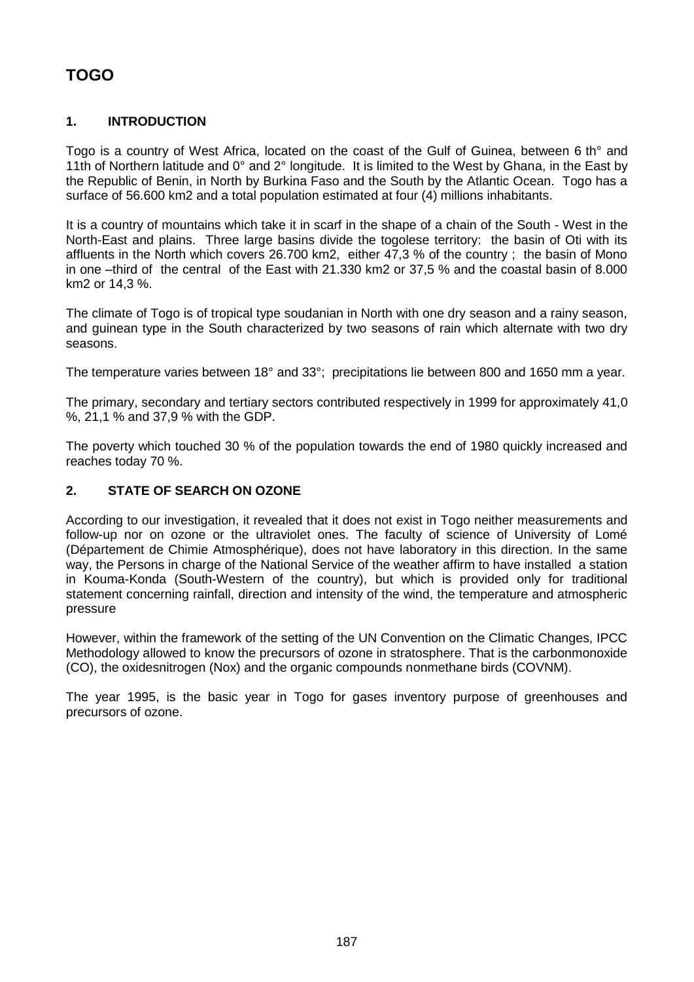# **TOGO**

# **1. INTRODUCTION**

Togo is a country of West Africa, located on the coast of the Gulf of Guinea, between 6 th° and 11th of Northern latitude and 0° and 2° longitude. It is limited to the West by Ghana, in the East by the Republic of Benin, in North by Burkina Faso and the South by the Atlantic Ocean. Togo has a surface of 56.600 km2 and a total population estimated at four (4) millions inhabitants.

It is a country of mountains which take it in scarf in the shape of a chain of the South - West in the North-East and plains. Three large basins divide the togolese territory: the basin of Oti with its affluents in the North which covers 26.700 km2, either 47,3 % of the country ; the basin of Mono in one –third of the central of the East with 21.330 km2 or 37,5 % and the coastal basin of 8.000 km2 or 14,3 %.

The climate of Togo is of tropical type soudanian in North with one dry season and a rainy season, and guinean type in the South characterized by two seasons of rain which alternate with two dry seasons.

The temperature varies between 18° and 33°; precipitations lie between 800 and 1650 mm a year.

The primary, secondary and tertiary sectors contributed respectively in 1999 for approximately 41,0 %, 21,1 % and 37,9 % with the GDP.

The poverty which touched 30 % of the population towards the end of 1980 quickly increased and reaches today 70 %.

## **2. STATE OF SEARCH ON OZONE**

According to our investigation, it revealed that it does not exist in Togo neither measurements and follow-up nor on ozone or the ultraviolet ones. The faculty of science of University of Lomé (Département de Chimie Atmosphérique), does not have laboratory in this direction. In the same way, the Persons in charge of the National Service of the weather affirm to have installed a station in Kouma-Konda (South-Western of the country), but which is provided only for traditional statement concerning rainfall, direction and intensity of the wind, the temperature and atmospheric pressure

However, within the framework of the setting of the UN Convention on the Climatic Changes, IPCC Methodology allowed to know the precursors of ozone in stratosphere. That is the carbonmonoxide (CO), the oxidesnitrogen (Nox) and the organic compounds nonmethane birds (COVNM).

The year 1995, is the basic year in Togo for gases inventory purpose of greenhouses and precursors of ozone.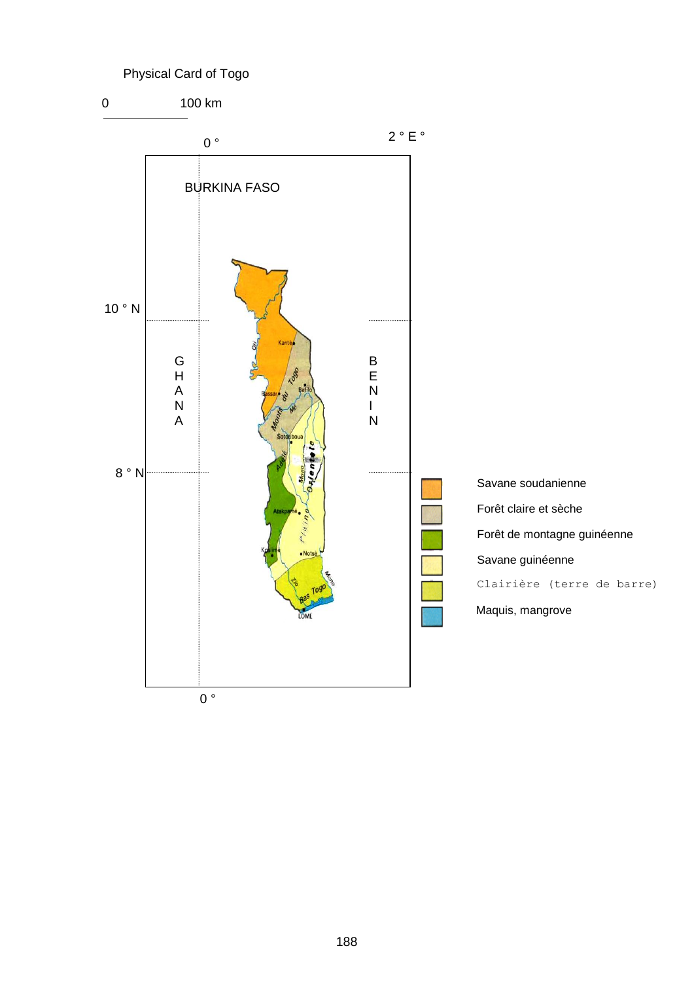# Physical Card of Togo

0 100 km

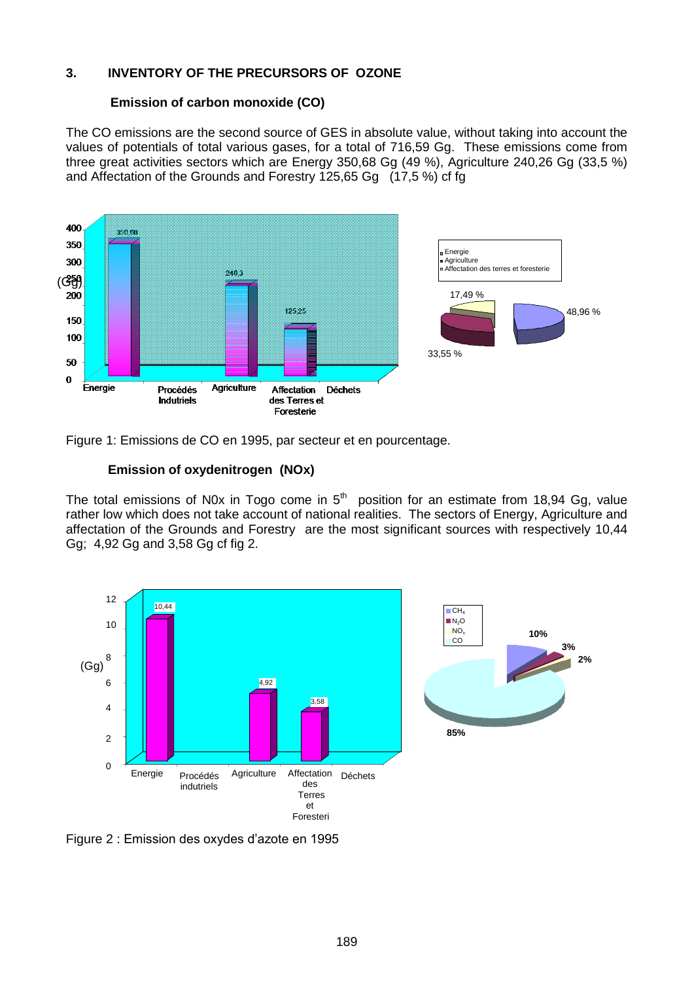## **3. INVENTORY OF THE PRECURSORS OF OZONE**

#### **Emission of carbon monoxide (CO)**

The CO emissions are the second source of GES in absolute value, without taking into account the values of potentials of total various gases, for a total of 716,59 Gg. These emissions come from three great activities sectors which are Energy 350,68 Gg (49 %), Agriculture 240,26 Gg (33,5 %) and Affectation of the Grounds and Forestry 125,65 Gg (17,5 %) cf fg



Figure 1: Emissions de CO en 1995, par secteur et en pourcentage.

#### **Emission of oxydenitrogen (NOx)**

The total emissions of N0x in Togo come in  $5<sup>th</sup>$  position for an estimate from 18,94 Gg, value rather low which does not take account of national realities. The sectors of Energy, Agriculture and affectation of the Grounds and Forestry are the most significant sources with respectively 10,44 Gg; 4,92 Gg and 3,58 Gg cf fig 2.





Figure 2 : Emission des oxydes d'azote en 1995